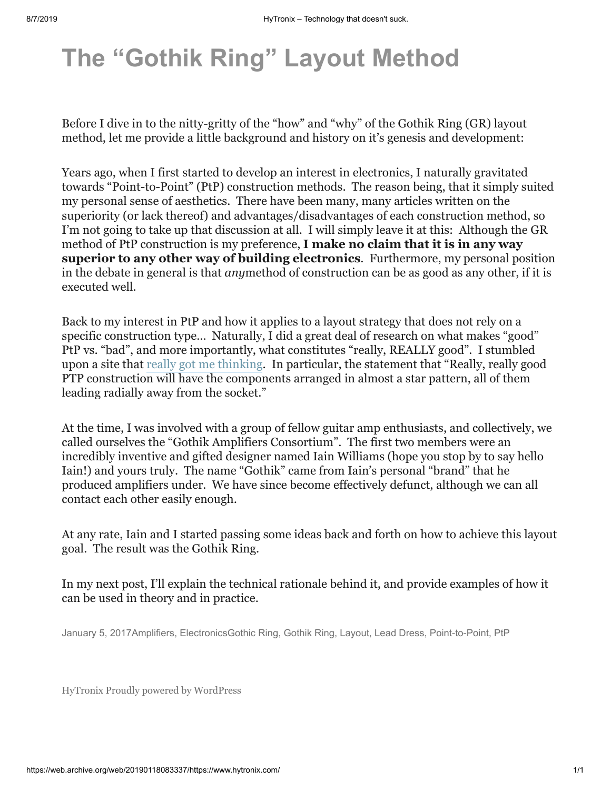## **[The "Gothik Ring" Layout Method](https://www.hytronix.com/2017/01/05/the-gothik-ring-layout-method/)**

Before I dive in to the nitty-gritty of the "how" and "why" of the Gothik Ring (GR) layout method, let me provide a little background and history on it's genesis and development:

Years ago, when I first started to develop an interest in electronics, I naturally gravitated towards "Point-to-Point" (PtP) construction methods. The reason being, that it simply suited my personal sense of aesthetics. There have been many, many articles written on the superiority (or lack thereof) and advantages/disadvantages of each construction method, so I'm not going to take up that discussion at all. I will simply leave it at this: Although the GR method of PtP construction is my preference, **I make no claim that it is in any way superior to any other way of building electronics**. Furthermore, my personal position in the debate in general is that *any*method of construction can be as good as any other, if it is executed well.

Back to my interest in PtP and how it applies to a layout strategy that does not rely on a specific construction type… Naturally, I did a great deal of research on what makes "good" PtP vs. "bad", and more importantly, what constitutes "really, REALLY good". I stumbled upon a site that [really got me thinking](http://www.geofex.com/article_folders/pt-to-pt/pt-to-pt.htm). In particular, the statement that "Really, really good PTP construction will have the components arranged in almost a star pattern, all of them leading radially away from the socket."

At the time, I was involved with a group of fellow guitar amp enthusiasts, and collectively, we called ourselves the "Gothik Amplifiers Consortium". The first two members were an incredibly inventive and gifted designer named Iain Williams (hope you stop by to say hello Iain!) and yours truly. The name "Gothik" came from Iain's personal "brand" that he produced amplifiers under. We have since become effectively defunct, although we can all contact each other easily enough.

At any rate, Iain and I started passing some ideas back and forth on how to achieve this layout goal. The result was the Gothik Ring.

In my next post, I'll explain the technical rationale behind it, and provide examples of how it can be used in theory and in practice.

[January 5, 2017](https://www.hytronix.com/2017/01/05/the-gothik-ring-layout-method/)[Amplifiers,](https://www.hytronix.com/category/electronics/amps/) [Electronics](https://www.hytronix.com/category/electronics/)[Gothic Ring,](https://www.hytronix.com/tag/gothic-ring/) [Gothik Ring](https://www.hytronix.com/tag/gothik-ring/), [Layout](https://www.hytronix.com/tag/layout/), [Lead Dress](https://www.hytronix.com/tag/lead-dress/), [Point-to-Point,](https://www.hytronix.com/tag/point-to-point/) [PtP](https://www.hytronix.com/tag/ptp/)

[HyTronix](https://www.hytronix.com/) [Proudly powered by WordPress](https://wordpress.org/)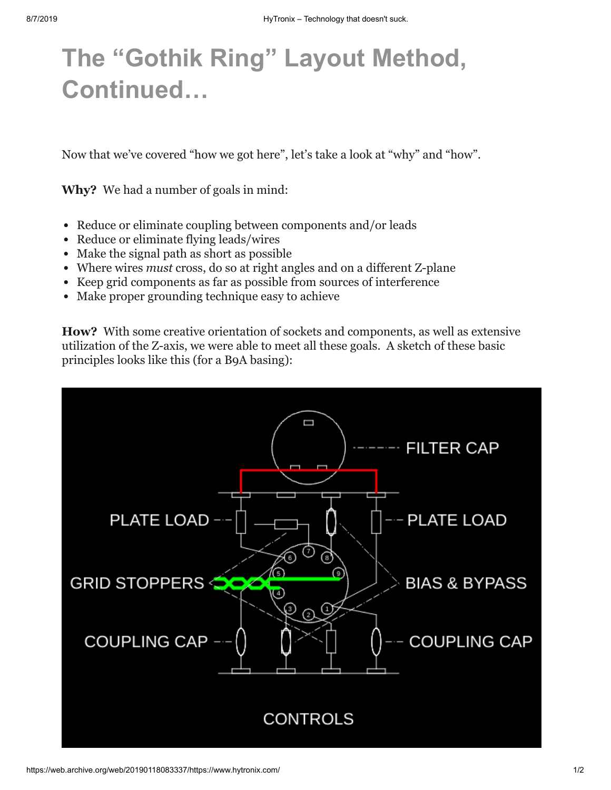## **[The "Gothik Ring" Layout Method,](https://www.hytronix.com/2017/01/05/the-gothik-ring-layout-method-continued/) Continued…**

Now that we've covered "how we got here", let's take a look at "why" and "how".

**Why?** We had a number of goals in mind:

- Reduce or eliminate coupling between components and/or leads
- Reduce or eliminate flying leads/wires
- Make the signal path as short as possible
- Where wires *must* cross, do so at right angles and on a different Z-plane
- Keep grid components as far as possible from sources of interference
- Make proper grounding technique easy to achieve

**How?** With some creative orientation of sockets and components, as well as extensive utilization of the Z-axis, we were able to meet all these goals. A sketch of these basic principles looks like this (for a B9A basing):